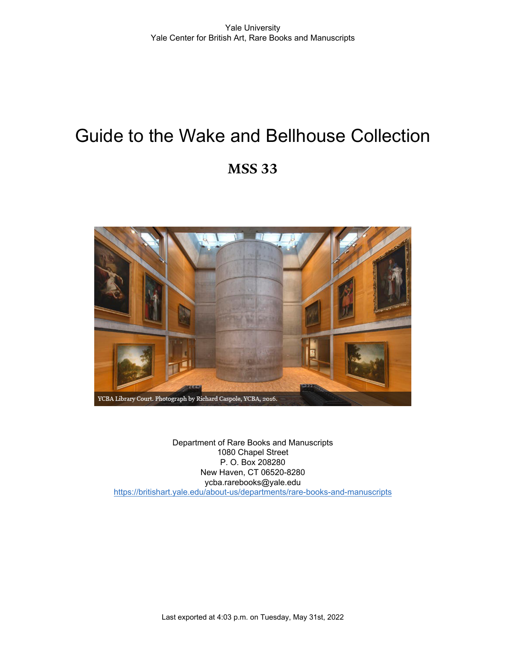# Guide to the Wake and Bellhouse Collection **MSS 33**

# YCBA Library Court. Photograph by Richard Caspole, YCBA, 2016.

Department of Rare Books and Manuscripts 1080 Chapel Street P. O. Box 208280 New Haven, CT 06520-8280 ycba.rarebooks@yale.edu <https://britishart.yale.edu/about-us/departments/rare-books-and-manuscripts>

Last exported at 4:03 p.m. on Tuesday, May 31st, 2022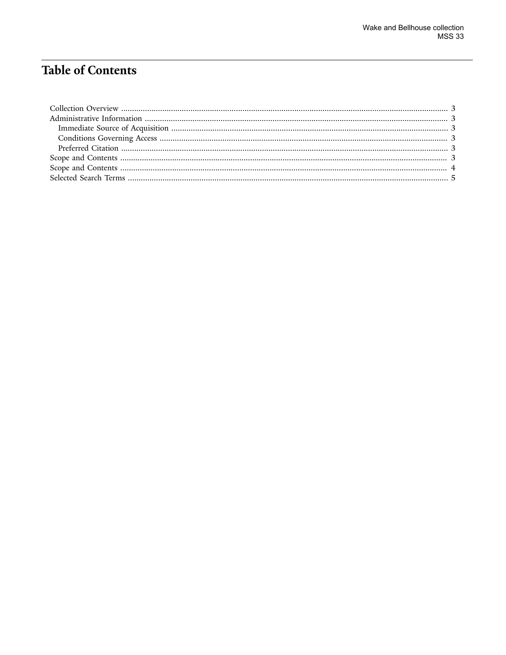# **Table of Contents**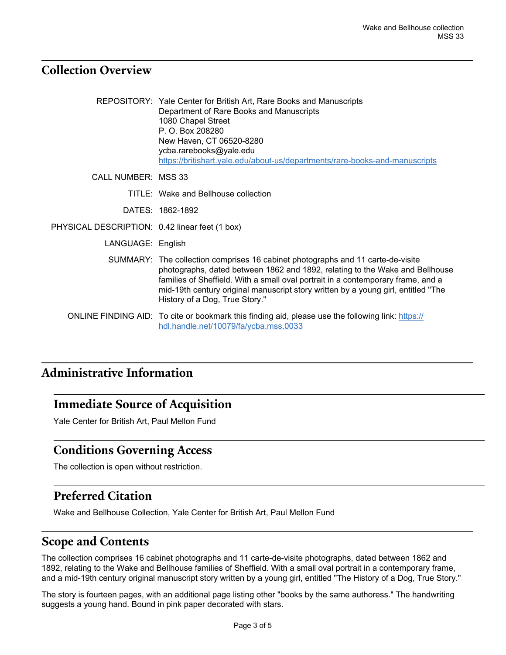#### <span id="page-2-0"></span>**Collection Overview**

|                                                | REPOSITORY: Yale Center for British Art, Rare Books and Manuscripts<br>Department of Rare Books and Manuscripts<br>1080 Chapel Street<br>P. O. Box 208280<br>New Haven, CT 06520-8280<br>ycba.rarebooks@yale.edu<br>https://britishart.yale.edu/about-us/departments/rare-books-and-manuscripts                                                                            |
|------------------------------------------------|----------------------------------------------------------------------------------------------------------------------------------------------------------------------------------------------------------------------------------------------------------------------------------------------------------------------------------------------------------------------------|
| CALL NUMBER: MSS 33                            |                                                                                                                                                                                                                                                                                                                                                                            |
|                                                | TITLE: Wake and Bellhouse collection                                                                                                                                                                                                                                                                                                                                       |
|                                                | DATES: 1862-1892                                                                                                                                                                                                                                                                                                                                                           |
| PHYSICAL DESCRIPTION: 0.42 linear feet (1 box) |                                                                                                                                                                                                                                                                                                                                                                            |
| LANGUAGE: English                              |                                                                                                                                                                                                                                                                                                                                                                            |
|                                                | SUMMARY: The collection comprises 16 cabinet photographs and 11 carte-de-visite<br>photographs, dated between 1862 and 1892, relating to the Wake and Bellhouse<br>families of Sheffield. With a small oval portrait in a contemporary frame, and a<br>mid-19th century original manuscript story written by a young girl, entitled "The<br>History of a Dog, True Story." |
|                                                | ONLINE FINDING AID: To cite or bookmark this finding aid, please use the following link: https://<br>hdl.handle.net/10079/fa/ycba.mss.0033                                                                                                                                                                                                                                 |

# <span id="page-2-1"></span>**Administrative Information**

#### <span id="page-2-2"></span>**Immediate Source of Acquisition**

Yale Center for British Art, Paul Mellon Fund

#### <span id="page-2-3"></span>**Conditions Governing Access**

The collection is open without restriction.

# <span id="page-2-4"></span>**Preferred Citation**

Wake and Bellhouse Collection, Yale Center for British Art, Paul Mellon Fund

# <span id="page-2-5"></span>**Scope and Contents**

The collection comprises 16 cabinet photographs and 11 carte-de-visite photographs, dated between 1862 and 1892, relating to the Wake and Bellhouse families of Sheffield. With a small oval portrait in a contemporary frame, and a mid-19th century original manuscript story written by a young girl, entitled "The History of a Dog, True Story."

The story is fourteen pages, with an additional page listing other "books by the same authoress." The handwriting suggests a young hand. Bound in pink paper decorated with stars.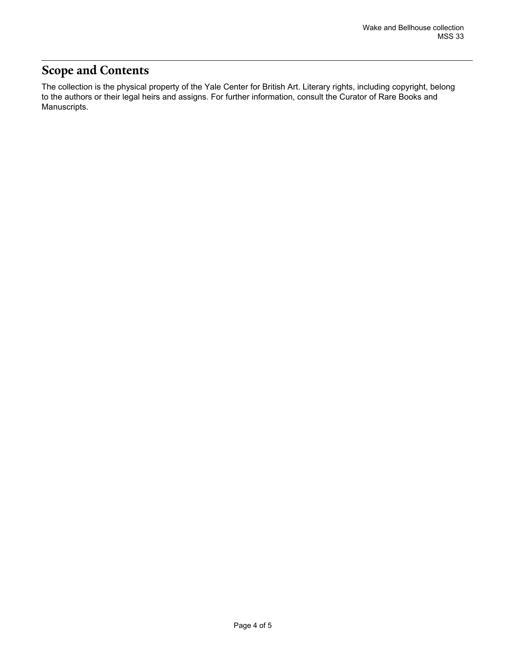# <span id="page-3-0"></span>**Scope and Contents**

The collection is the physical property of the Yale Center for British Art. Literary rights, including copyright, belong to the authors or their legal heirs and assigns. For further information, consult the Curator of Rare Books and Manuscripts.